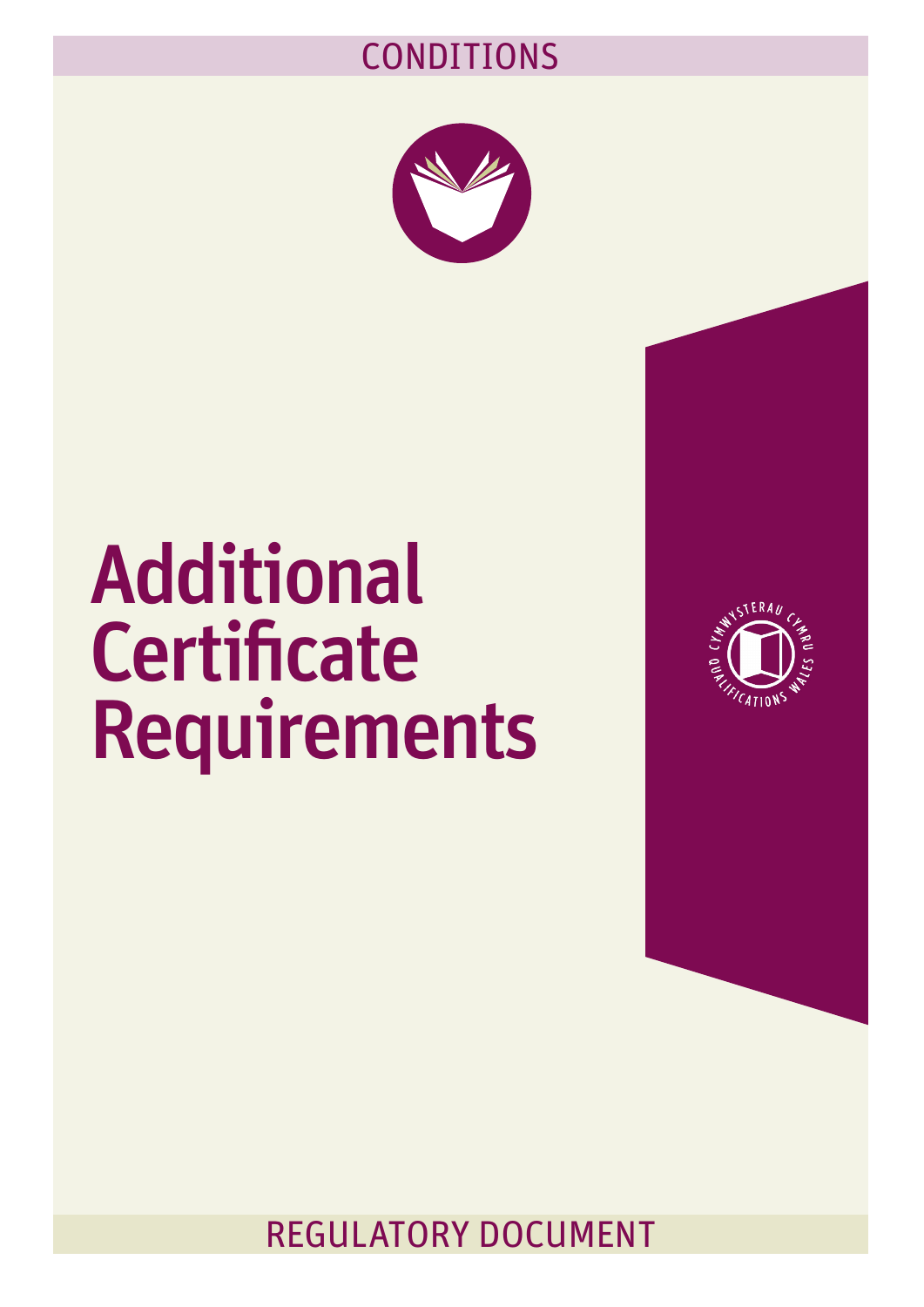## CONDITIONS



## Additional **Certificate** Requirements



REGULATORY DOCUMENT